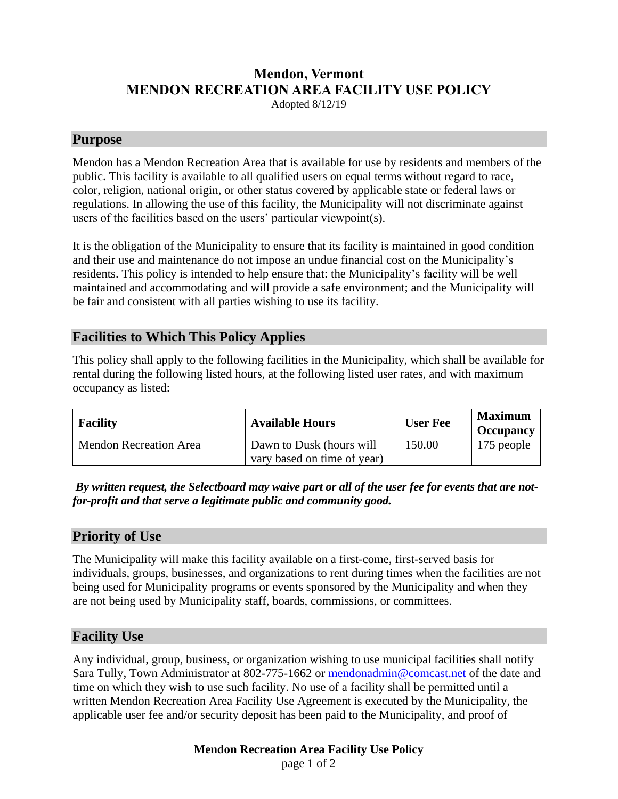# **Mendon, Vermont MENDON RECREATION AREA FACILITY USE POLICY**

Adopted 8/12/19

#### **Purpose**

Mendon has a Mendon Recreation Area that is available for use by residents and members of the public. This facility is available to all qualified users on equal terms without regard to race, color, religion, national origin, or other status covered by applicable state or federal laws or regulations. In allowing the use of this facility, the Municipality will not discriminate against users of the facilities based on the users' particular viewpoint(s).

It is the obligation of the Municipality to ensure that its facility is maintained in good condition and their use and maintenance do not impose an undue financial cost on the Municipality's residents. This policy is intended to help ensure that: the Municipality's facility will be well maintained and accommodating and will provide a safe environment; and the Municipality will be fair and consistent with all parties wishing to use its facility.

## **Facilities to Which This Policy Applies**

This policy shall apply to the following facilities in the Municipality, which shall be available for rental during the following listed hours, at the following listed user rates, and with maximum occupancy as listed:

| <b>Facility</b>               | <b>Available Hours</b>                                  | <b>User Fee</b> | <b>Maximum</b><br><b>Occupancy</b> |
|-------------------------------|---------------------------------------------------------|-----------------|------------------------------------|
| <b>Mendon Recreation Area</b> | Dawn to Dusk (hours will<br>vary based on time of year) | 150.00          | 175 people                         |

*By written request, the Selectboard may waive part or all of the user fee for events that are notfor-profit and that serve a legitimate public and community good.*

#### **Priority of Use**

The Municipality will make this facility available on a first-come, first-served basis for individuals, groups, businesses, and organizations to rent during times when the facilities are not being used for Municipality programs or events sponsored by the Municipality and when they are not being used by Municipality staff, boards, commissions, or committees.

#### **Facility Use**

Any individual, group, business, or organization wishing to use municipal facilities shall notify Sara Tully, Town Administrator at 802-775-1662 or [mendonadmin@comcast.net](mailto:mendonadmin@comcast.net) of the date and time on which they wish to use such facility. No use of a facility shall be permitted until a written Mendon Recreation Area Facility Use Agreement is executed by the Municipality, the applicable user fee and/or security deposit has been paid to the Municipality, and proof of